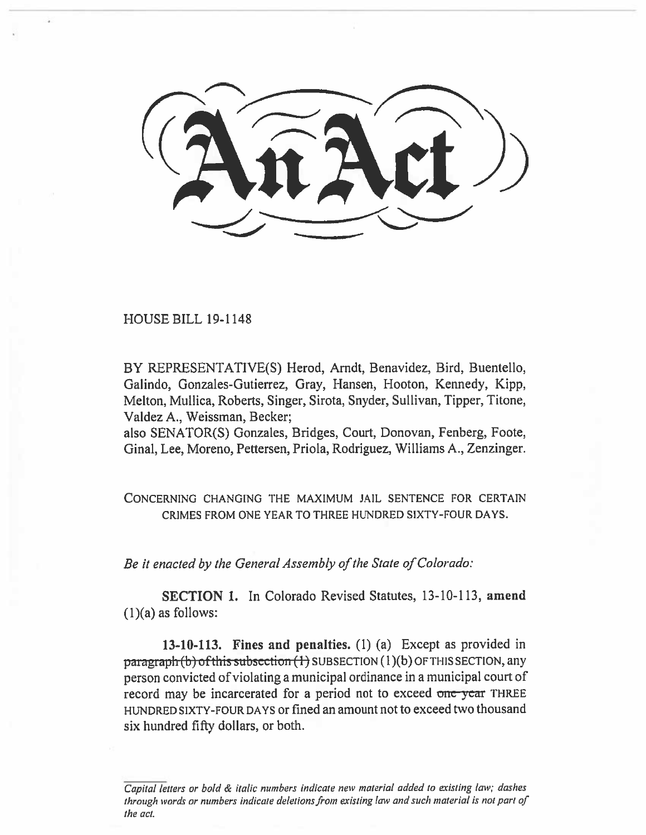HOUSE BILL 19-1148

BY REPRESENTATIVE(S) Herod, Arndt, Benavidez, Bird, Buentello, Galindo, Gonzales-Gutierrez, Gray, Hansen, Hooton, Kennedy, Kipp, Melton, Mullica, Roberts, Singer, Sirota, Snyder, Sullivan, Tipper, Titone, Valdez A., Weissman, Becker;

also SENATOR(S) Gonzales, Bridges, Court, Donovan, Fenberg, Foote, Ginal, Lee, Moreno, Pettersen, Priola, Rodriguez, Williams A., Zenzinger.

CONCERNING CHANGING THE MAXIMUM JAIL. SENTENCE FOR CERTAIN CRIMES FROM ONE YEAR TO THREE HUNDRED SIXTY-FOUR DAYS.

*Be it enacted by the General Assembly of the State of Colorado:* 

**SECTION 1.** In Colorado Revised Statutes, 13-10-113, **amend**   $(1)(a)$  as follows:

**13-10-113. Fines and penalties.** (1) (a) Except as provided in  $\frac{pargraph(b)$  of this subsection (1) SUBSECTION (1)(b) OF THIS SECTION, any person convicted of violating a municipal ordinance in a municipal court of record may be incarcerated for a period not to exceed one **year** THREE HUNDRED SIXTY-FOUR DAYS or fined an amount not to exceed two thousand six **hundred** fifty dollars, or both.

Capital letters or bold & italic numbers indicate new material added to existing law; dashes through words or numbers indicate deletions from existing law and such material is not part of the act.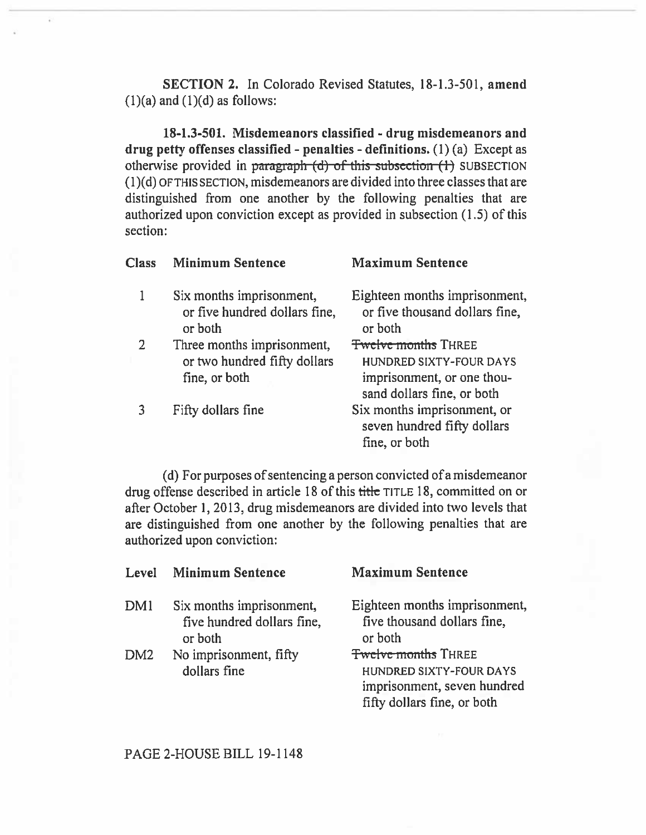**SECTION 2.** In Colorado Revised Statutes, 18-1.3-501, **amend**   $(1)(a)$  and  $(1)(d)$  as follows:

**18-1.3-501. Misdemeanors classified - drug misdemeanors and drug petty offenses classified - penalties - definitions.** (1) (a) Except as otherwise provided in paragraph (d) of this subsection (1) SUBSECTION (1)(d) **OF THIS SECTION,** misdemeanors are divided into three classes that are distinguished from one another by the following penalties that are authorized upon conviction except as provided in subsection (1.5) of this section:

| <b>Class</b> | <b>Minimum Sentence</b>                                                     | <b>Maximum Sentence</b>                                                                                                  |
|--------------|-----------------------------------------------------------------------------|--------------------------------------------------------------------------------------------------------------------------|
| 1            | Six months imprisonment,<br>or five hundred dollars fine,<br>or both        | Eighteen months imprisonment,<br>or five thousand dollars fine,<br>or both                                               |
| 2            | Three months imprisonment,<br>or two hundred fifty dollars<br>fine, or both | <b>Twelve months THREE</b><br><b>HUNDRED SIXTY-FOUR DAYS</b><br>imprisonment, or one thou-<br>sand dollars fine, or both |
|              | Fifty dollars fine                                                          | Six months imprisonment, or<br>seven hundred fifty dollars<br>fine, or both                                              |

(d) For purposes of sentencing a person convicted of a misdemeanor drug offense described in article 18 of this **title TITLE** 18, committed on or after October 1, 2013, drug misdemeanors are divided into two levels that are distinguished from one another by the following penalties that are authorized upon conviction:

| Level           | <b>Minimum Sentence</b>                                           | <b>Maximum Sentence</b>                                                                                             |
|-----------------|-------------------------------------------------------------------|---------------------------------------------------------------------------------------------------------------------|
| DM <sub>1</sub> | Six months imprisonment,<br>five hundred dollars fine,<br>or both | Eighteen months imprisonment,<br>five thousand dollars fine,<br>or both                                             |
| DM <sub>2</sub> | No imprisonment, fifty<br>dollars fine                            | <b>Twelve months THREE</b><br>HUNDRED SIXTY-FOUR DAYS<br>imprisonment, seven hundred<br>fifty dollars fine, or both |

PAGE 2-HOUSE BILL 19-1148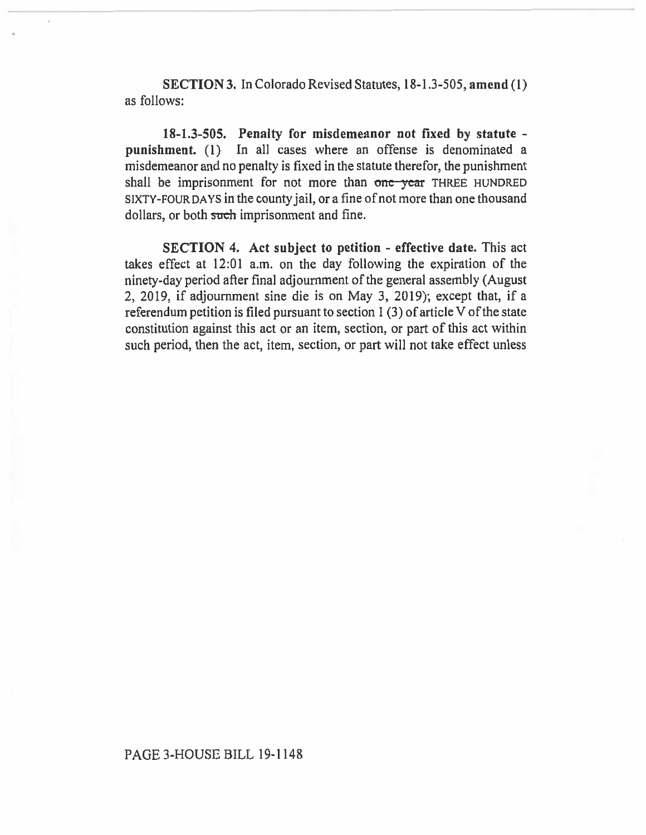**SECTION 3.** In Colorado Revised Statutes, 18-1.3-505, **amend** (1) as follows:

**18-1.3-505. Penalty for misdemeanor not fixed by statute punishment.** (1) In all cases where an offense is denominated a misdemeanor and no penalty is fixed in the statute therefor, the punishment shall be imprisonment for not more than one-year THREE HUNDRED SIXTY-FOUR DAYS in the county jail, or a fine of not more than one thousand dollars, or both such imprisonment and fine.

**SECTION 4. Act subject to petition - effective date.** This act takes effect at 12:01 a.m. on the day following the expiration of the ninety-day period after final adjournment of the general assembly (August 2, 2019, if adjournment sine die is on May 3, 2019); except that, if a referendum petition is filed pursuant to section 1 (3) of article V of the state constitution against this act or an item, section, or part of this act within such period, then the act, item, section, or part will not take effect unless